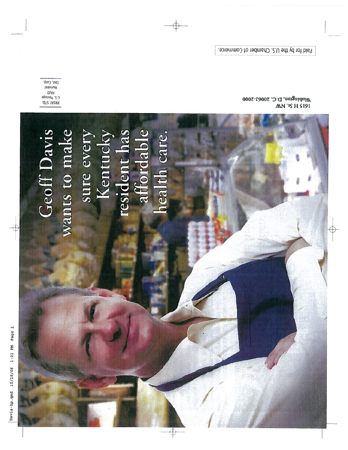Geoff Davis<br>wants to make<br>sure every<br>Kentucky<br>resident has<br>affordable<br>health care.

Dist. Corp., **JammunH** Ppsizo<sup>d</sup> .2.U **.0T2.1A2A9** 

Washington, D.C. 20005-2000 **MN 'IS H S191** 

Paid for by the U.S. Chamber of Commerce.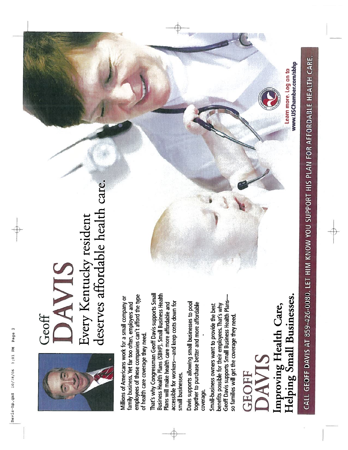-



## Geoff<br>DAVIS<br>Every Kentucky resident<br>deserves affordable health care. Every Kentucky resident deserves affordable health care.

employees of these companies can't afford the type employees of these companies can't afford the type Millions of Americans work for a small company or Millions of Americans work for a small company or family business. Yet far too often, employers and family business. Yet far too often, employers and of health care coverage they need. of health care coverage they need.

That's why Congressman Geoff Davis supports Small That's why Congressman Geoff Davis supports Small Business Health Plans (SBHP). Small Business Health Business Health Plans (5BHP). Small Business Health accessible for workers-and keep costs down for accessible for workers—and keep costs down for Plans will make health care more affordable and Plans will make health care more affordable and small businesses. small businesses.

Davis supports allowing small businesses to pool<br>together to purchase better and more affordable Davis supports allowing small businesses to pool together to purchase better and more affordable coverage.

Geoff Davis supports Small Business Health Plans— Geoff Davis supports Small Business Health Plansbenefits possible for their employees. That's why Small-business owners want to provide the best Small-business owners want to provide the best benefits possible for their employees. That's why so families will get the coverage they need so families will get the coverage they need.

## $\mathbf{r}$ AVIS

elping Small Businesses. The intervalue of the more log on to eiping Small Businesses. Helping Small Businesses. Improving Health Care, Improving Health Care,

www.USChamber.com/sbhp Learn more. Log on to

CALL GEOFF DAVIS AT 859-426-0080. LET HIM KNOW YOU SUPPORT HIS PLAN FOR AFFORDABLE HEALTH CARE. ALL GEOFF DAVIS AT 859-426-0080. LET HIM KNOW YOU SUPPORT HIS PLAN FOR AFFORDARLE HEALTH CAL

ih 'F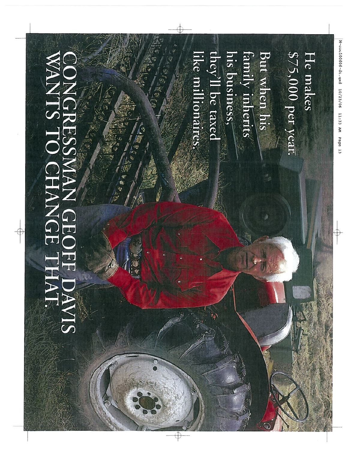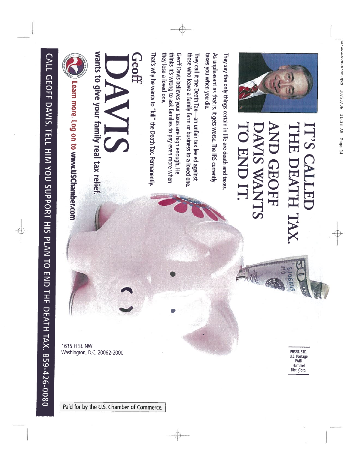

They say the only things certain in life are death and taxes

As unpleasant as that is, it gets worse. The IRS currently taxes you when you die.

those who leave a family farm or business to a loved one They call it the Death Tax—an unfair tax levied against

they lose a loved one. Geoff Davis believes your taxes are high enough. He thinks it's wrong to ask families to pay even more when

That's why he wants to "kill" the Death Tax. Permanently,

## **Geoff**

wants to give your family real tax relief.



Learn more. Log on to www.USChamber.com

CALL GEOFF DAVIS. TELL HIM YOU SUPPORT HIS PLAN TO END THE DEATH TAX. 859-426-0080

1615 H St. NW Washington, D.C. 20062-2000

PRSRT. STD.<br>U.S. Postage PAID Hummel Dist. Corp.

**EJ068415** 

Paid for by the U.S. Chamber of Commerce.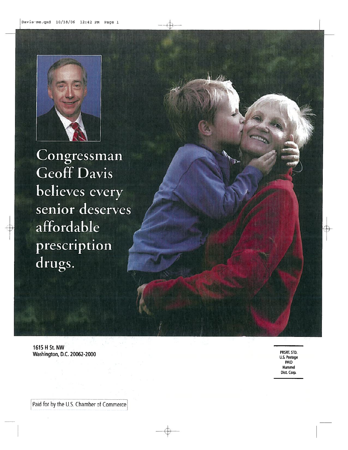

Congressman Geoff Davis believes every senior deserves affordable prescription drugs.

1615 H St. NW Washington, D.C. 20062-2000

PRSRT. STD. U.S. Postage PAID Hummel Dist. Corp.

Paid for by the U.S. Chamber of Commerce